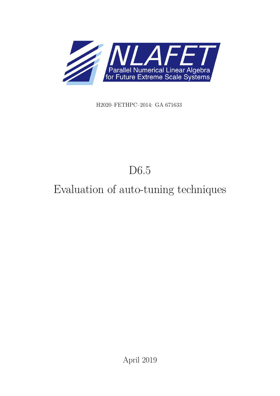

H2020–FETHPC–2014: GA 671633

# D6.5

# Evaluation of auto-tuning techniques

April 2019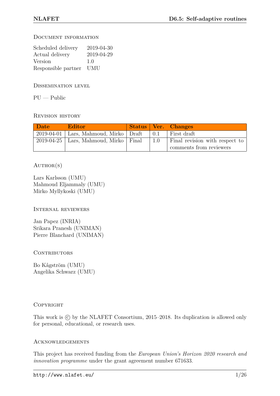Document information

| Scheduled delivery  | 2019-04-30 |
|---------------------|------------|
| Actual delivery     | 2019-04-29 |
| Version             | 1.0        |
| Responsible partner | <b>UMU</b> |

Dissemination level

 $PU - Public$ 

Revision history

| <b>Date</b> | <b>Editor</b>                               |           | <b>Status Ver. Changes</b>     |
|-------------|---------------------------------------------|-----------|--------------------------------|
|             | $2019-04-01$ Lars, Mahmoud, Mirko Draft     | $\pm 0.1$ | First draft                    |
|             | $2019-04-25$   Lars, Mahmoud, Mirko   Final | $1.0\,$   | Final revision with respect to |
|             |                                             |           | comments from reviewers        |

### $AUTHOR(S)$

Lars Karlsson (UMU) Mahmoud Eljammaly (UMU) Mirko Myllykoski (UMU)

Internal reviewers

Jan Papez (INRIA) Srikara Pranesh (UNIMAN) Pierre Blanchard (UNIMAN)

### CONTRIBUTORS

Bo Kågström (UMU) Angelika Schwarz (UMU)

### **COPYRIGHT**

This work is  $\odot$  by the NLAFET Consortium, 2015–2018. Its duplication is allowed only for personal, educational, or research uses.

### **ACKNOWLEDGEMENTS**

This project has received funding from the *European Union's Horizon 2020 research and innovation programme* under the grant agreement number 671633.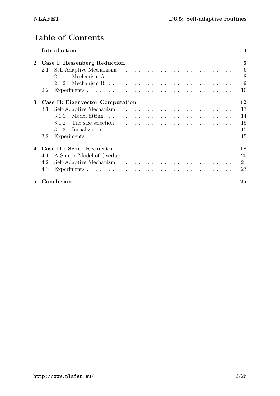## **Table of Contents**

|                            |     | Introduction                                                                                        | $\overline{4}$ |
|----------------------------|-----|-----------------------------------------------------------------------------------------------------|----------------|
| $\mathbf 2$                |     | Case I: Hessenberg Reduction                                                                        | $\mathbf{5}$   |
|                            | 2.1 |                                                                                                     | 6              |
|                            |     | Mechanism A $\ldots \ldots \ldots \ldots \ldots \ldots \ldots \ldots \ldots \ldots \ldots$<br>2.1.1 | 8              |
|                            |     | Mechanism B $\ldots \ldots \ldots \ldots \ldots \ldots \ldots \ldots \ldots \ldots \ldots$<br>2.1.2 | - 9            |
|                            | 2.2 |                                                                                                     | 10             |
| 3                          |     | Case II: Eigenvector Computation                                                                    | 12             |
|                            | 3.1 |                                                                                                     | 13             |
|                            |     | 3.1.1                                                                                               |                |
|                            |     | 312                                                                                                 | 15             |
|                            |     | 3.1.3                                                                                               | 15             |
|                            | 3.2 |                                                                                                     | 15             |
| $\boldsymbol{\mathcal{A}}$ |     | Case III: Schur Reduction                                                                           | 18             |
|                            | 4.1 |                                                                                                     | 20             |
|                            | 4.2 |                                                                                                     | 21             |
|                            | 4.3 |                                                                                                     | 23             |
| $\mathbf{5}$               |     | Conclusion                                                                                          | 25             |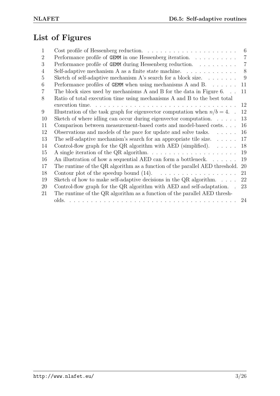## **List of Figures**

| 1              | Cost profile of Hessenberg reduction. $\ldots \ldots \ldots \ldots \ldots \ldots \ldots$                                                                                                                                               | 6              |
|----------------|----------------------------------------------------------------------------------------------------------------------------------------------------------------------------------------------------------------------------------------|----------------|
| 2              | Performance profile of GEMM in one Hessenberg iteration.                                                                                                                                                                               | $\overline{7}$ |
| 3              | Performance profile of GEMM during Hessenberg reduction.                                                                                                                                                                               | $\overline{7}$ |
| $\overline{4}$ | Self-adaptive mechanism A as a finite state machine. $\dots \dots \dots \dots$                                                                                                                                                         | 8              |
| 5              | Sketch of self-adaptive mechanism $A$ 's search for a block size                                                                                                                                                                       | 9              |
| 6              | Performance profiles of GEMM when using mechanisms $A$ and $B$                                                                                                                                                                         | 11             |
| $\overline{7}$ | The block sizes used by mechanisms A and B for the data in Figure 6. $\ldots$                                                                                                                                                          | 11             |
| 8              | Ratio of total execution time using mechanisms A and B to the best total                                                                                                                                                               |                |
|                |                                                                                                                                                                                                                                        | 12             |
| 9              | Illustration of the task graph for eigenvector computation when $n/b = 4$ .                                                                                                                                                            | 12             |
| 10             | Sketch of where idling can occur during eigenvector computation. $\ldots$ .                                                                                                                                                            | 13             |
| 11             | Comparison between measurement-based costs and model-based costs                                                                                                                                                                       | 16             |
| 12             | Observations and models of the pace for update and solve tasks. $\dots$ .                                                                                                                                                              | 16             |
| 13             | The self-adaptive mechanism's search for an appropriate tile size. $\dots$ .                                                                                                                                                           | 17             |
| 14             | Control-flow graph for the QR algorithm with AED (simplified). $\dots$ .                                                                                                                                                               | 18             |
| 15             | A single iteration of the QR algorithm. $\ldots \ldots \ldots \ldots \ldots \ldots \ldots$                                                                                                                                             | 19             |
| 16             | An illustration of how a sequential AED can form a bottleneck. $\dots \dots$                                                                                                                                                           | 19             |
| 17             | The runtime of the QR algorithm as a function of the parallel AED threshold.                                                                                                                                                           | 20             |
| 18             | Contour plot of the speedup bound $(14)$ .<br>.                                                                                                                                                                                        | 21             |
| 19             | Sketch of how to make self-adaptive decisions in the QR algorithm. $\dots$                                                                                                                                                             | 22             |
| 20             | Control-flow graph for the QR algorithm with AED and self-adaptation. .                                                                                                                                                                | 23             |
| 21             | The runtime of the QR algorithm as a function of the parallel AED thresh-                                                                                                                                                              |                |
|                | olds.<br>a construction of the construction of the construction of the construction of the construction of the construction of the construction of the construction of the construction of the construction of the construction of the | 24             |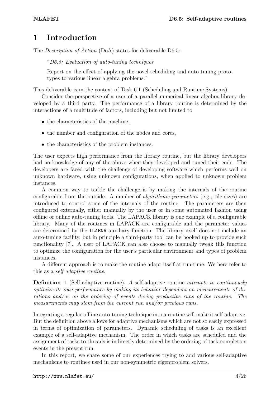### <span id="page-4-0"></span>**1 Introduction**

The *Description of Action* (DoA) states for deliverable D6.5:

"*D6.5: Evaluation of auto-tuning techniques*

Report on the effect of applying the novel scheduling and auto-tuning prototypes to various linear algebra problems."

This deliverable is in the context of Task 6.1 (Scheduling and Runtime Systems).

Consider the perspective of a user of a parallel numerical linear algebra library developed by a third party. The performance of a library routine is determined by the interactions of a multitude of factors, including but not limited to

- the characteristics of the machine,
- the number and configuration of the nodes and cores,
- the characteristics of the problem instances.

The user expects high performance from the library routine, but the library developers had no knowledge of any of the above when they developed and tuned their code. The developers are faced with the challenge of developing software which performs well on unknown hardware, using unknown configurations, when applied to unknown problem instances.

A common way to tackle the challenge is by making the internals of the routine configurable from the outside. A number of *algorithmic parameters* (e.g., tile sizes) are introduced to control some of the internals of the routine. The parameters are then configured externally, either manually by the user or in some automated fashion using offline or online auto-tuning tools. The LAPACK library is one example of a configurable library. Many of the routines in LAPACK are configurable and the parameter values are determined by the ILAENV auxiliary function. The library itself does not include an auto-tuning facility, but in principle a third-party tool can be hooked up to provide such functionality [\[7\]](#page-26-1). A user of LAPACK can also choose to manually tweak this function to optimize the configuration for the user's particular environment and types of problem instances.

A different approach is to make the routine adapt itself at run-time. We here refer to this as a *self-adaptive routine*.

**Definition 1** (Self-adaptive routine)**.** *A* self-adaptive routine *attempts to continuously optimize its own performance by making its behavior dependent on measurements of durations and/or on the ordering of events during productive runs of the routine. The measurements may stem from the current run and/or previous runs.*

Integrating a regular offline auto-tuning technique into a routine will make it self-adaptive. But the definition above allows for adaptive mechanisms which are not so easily expressed in terms of optimization of parameters. Dynamic scheduling of tasks is an excellent example of a self-adaptive mechanism. The order in which tasks are scheduled and the assignment of tasks to threads is indirectly determined by the ordering of task-completion events in the present run.

In this report, we share some of our experiences trying to add various self-adaptive mechanisms to routines used in our non-symmetric eigenproblem solvers.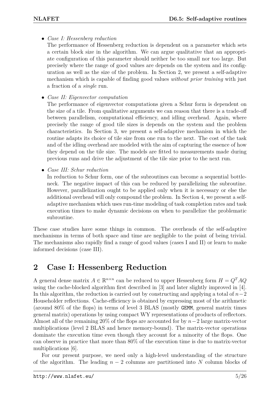• *Case I: Hessenberg reduction*

The performance of Hessenberg reduction is dependent on a parameter which sets a certain block size in the algorithm. We can argue qualitative that an appropriate configuration of this parameter should neither be too small nor too large. But precisely where the range of good values are depends on the system and its configuration as well as the size of the problem. In Section [2,](#page-5-0) we present a self-adaptive mechanism which is capable of finding good values *without prior training* with just a fraction of a *single* run.

• *Case II: Eigenvector computation*

The performance of eigenvector computations given a Schur form is dependent on the size of a tile. From qualitative arguments we can reason that there is a trade-off between parallelism, computational efficiency, and idling overhead. Again, where precisely the range of good tile sizes is depends on the system and the problem characteristics. In Section [3,](#page-12-0) we present a self-adaptive mechanism in which the routine adapts its choice of tile size from one run to the next. The cost of the task and of the idling overhead are modeled with the aim of capturing the essence of how they depend on the tile size. The models are fitted to measurements made during previous runs and drive the adjustment of the tile size prior to the next run.

• *Case III: Schur reduction*

In reduction to Schur form, one of the subroutines can become a sequential bottleneck. The negative impact of this can be reduced by parallelizing the subroutine. However, parallelization ought to be applied only when it is necessary or else the additional overhead will only compound the problem. In Section [4,](#page-18-0) we present a selfadaptive mechanism which uses run-time modeling of task completion rates and task execution times to make dynamic decisions on when to parallelize the problematic subroutine.

These case studies have some things in common. The overheads of the self-adaptive mechanisms in terms of both space and time are negligible to the point of being trivial. The mechanisms also rapidly find a range of good values (cases I and II) or learn to make informed decisions (case III).

### <span id="page-5-0"></span>**2 Case I: Hessenberg Reduction**

A general dense matrix  $A \in \mathbb{R}^{n \times n}$  can be reduced to upper Hessenberg form  $H = Q^T A Q$ using the cache-blocked algorithm first described in [\[3\]](#page-26-2) and later slightly improved in [\[4\]](#page-26-3). In this algorithm, the reduction is carried out by constructing and applying a total of *n*−2 Householder reflections. Cache-efficiency is obtained by expressing most of the arithmetic (around 80% of the flops) in terms of level 3 BLAS (mostly GEMM, general matrix times general matrix) operations by using compact WY representations of products of reflectors. Almost all of the remaining 20% of the flops are accounted for by *n*−2 large matrix-vector multiplications (level 2 BLAS and hence memory-bound). The matrix-vector operations dominate the execution time even though they account for a minority of the flops. One can observe in practice that more than 80% of the execution time is due to matrix-vector multiplications [\[6\]](#page-26-4).

For our present purpose, we need only a high-level understanding of the structure of the algorithm. The leading  $n-2$  columns are partitioned into *N* column blocks of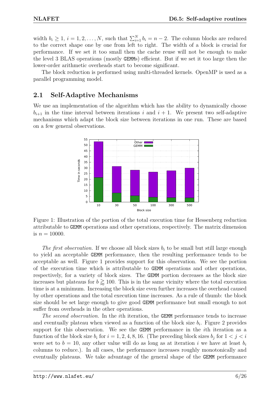width  $b_i \geq 1$ ,  $i = 1, 2, ..., N$ , such that  $\sum_{i=1}^{N} b_i = n - 2$ . The column blocks are reduced to the correct shape one by one from left to right. The width of a block is crucial for performance. If we set it too small then the cache reuse will not be enough to make the level 3 BLAS operations (mostly GEMMs) efficient. But if we set it too large then the lower-order arithmetic overheads start to become significant.

The block reduction is performed using multi-threaded kernels. OpenMP is used as a parallel programming model.

### <span id="page-6-0"></span>**2.1 Self-Adaptive Mechanisms**

<span id="page-6-1"></span>We use an implementation of the algorithm which has the ability to dynamically choose  $b_{i+1}$  in the time interval between iterations *i* and  $i+1$ . We present two self-adaptive mechanisms which adapt the block size between iterations in one run. These are based on a few general observations.



Figure 1: Illustration of the portion of the total execution time for Hessenberg reduction attributable to GEMM operations and other operations, respectively. The matrix dimension is  $n = 10000$ .

*The first observation.* If we choose all block sizes *b<sup>i</sup>* to be small but still large enough to yield an acceptable GEMM performance, then the resulting performance tends to be acceptable as well. Figure [1](#page-6-1) provides support for this observation. We see the portion of the execution time which is attributable to GEMM operations and other operations, respectively, for a variety of block sizes. The GEMM portion decreases as the block size increases but plateaus for  $b \gtrsim 100$ . This is in the same vicinity where the total execution time is at a minimum. Increasing the block size even further increases the overhead caused by other operations and the total execution time increases. As a rule of thumb: the block size should be set large enough to give good GEMM performance but small enough to not suffer from overheads in the other operations.

*The second observation.* In the *i*th iteration, the GEMM performance tends to increase and eventually plateau when viewed as a function of the block size  $b_i$ . Figure [2](#page-7-0) provides support for this observation. We see the GEMM performance in the *i*th iteration as a function of the block size  $b_i$  for  $i = 1, 2, 4, 8, 16$ . (The preceding block sizes  $b_j$  for  $1 < j < i$ were set to  $b = 10$ , any other value will do as long as at iteration *i* we have at least  $b_i$ columns to reduce.). In all cases, the performance increases roughly monotonically and eventually plateaus. We take advantage of the general shape of the GEMM performance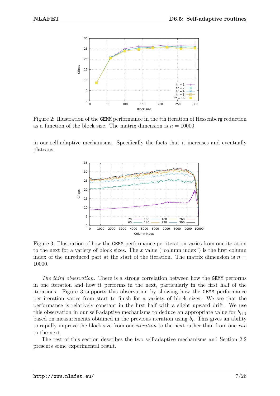<span id="page-7-0"></span>

Figure 2: Illustration of the GEMM performance in the *i*th iteration of Hessenberg reduction as a function of the block size. The matrix dimension is  $n = 10000$ .

<span id="page-7-1"></span>in our self-adaptive mechanisms. Specifically the facts that it increases and eventually plateaus.



Figure 3: Illustration of how the GEMM performance per iteration varies from one iteration to the next for a variety of block sizes. The *x* value ("column index") is the first column index of the unreduced part at the start of the iteration. The matrix dimension is  $n =$ 10000.

The third observation. There is a strong correlation between how the **GEMM** performs in one iteration and how it performs in the next, particularly in the first half of the iterations. Figure [3](#page-7-1) supports this observation by showing how the GEMM performance per iteration varies from start to finish for a variety of block sizes. We see that the performance is relatively constant in the first half with a slight upward drift. We use this observation in our self-adaptive mechanisms to deduce an appropriate value for  $b_{i+1}$ based on measurements obtained in the previous iteration using  $b_i$ . This gives an ability to rapidly improve the block size from one *iteration* to the next rather than from one *run* to the next.

The rest of this section describes the two self-adaptive mechanisms and Section [2.2](#page-10-0) presents some experimental result.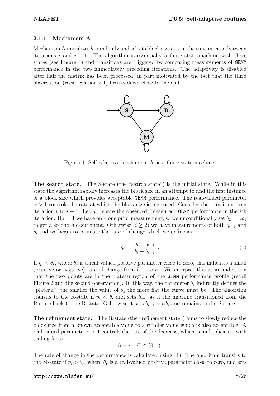#### <span id="page-8-0"></span>**2.1.1 Mechanism A**

<span id="page-8-1"></span>Mechanism A initializes  $b_1$  randomly and selects block size  $b_{i+1}$  in the time interval between iterations  $i$  and  $i + 1$ . The algorithm is essentially a finite state machine with three states (see Figure [4\)](#page-8-1) and transitions are triggered by comparing measurements of GEMM performance in the two immediately preceding iterations. The adaptivity is disabled after half the matrix has been processed, in part motivated by the fact that the third observation (recall Section [2.1\)](#page-6-0) breaks down close to the end.



Figure 4: Self-adaptive mechanism A as a finite state machine.

**The search state.** The S-state (the "search state") is the initial state. While in this state the algorithm rapidly increases the block size in an attempt to find the first instance of a block size which provides acceptable GEMM performance. The real-valued parameter  $\alpha > 1$  controls the rate at which the block size is increased. Consider the transition from iteration *i* to  $i + 1$ . Let  $g_i$  denote the observed (measured) GEMM performance in the *i*th iteration. If  $i = 1$  we have only one prior measurement, so we unconditionally set  $b_2 = \alpha b_1$ to get a second measurement. Otherwise ( $i \geq 2$ ) we have measurements of both  $g_{i-1}$  and *g<sup>i</sup>* and we begin to estimate the rate of change which we define as

<span id="page-8-2"></span>
$$
\eta_i = \left| \frac{g_i - g_{i-1}}{b_i - b_{i-1}} \right|.
$$
\n(1)

If  $\eta_i < \theta_s$ , where  $\theta_s$  is a real-valued positive parameter close to zero, this indicates a small (positive or negative) rate of change from  $b_{i-1}$  to  $b_i$ . We interpret this as an indication that the two points are in the plateau region of the GEMM performance profile (recall Figure [2](#page-7-0) and the second observation). In this way, the parameter  $\theta_s$  indirectly defines the "plateau"; the smaller the value of  $\theta_s$  the more flat the curve must be. The algorithm transits to the R-state if  $\eta_i < \theta_s$  and sets  $b_{i+1}$  as if the machine transitioned from the R-state back to the R-state. Otherwise it sets  $b_{i+1} = \alpha b_i$  and remains in the S-state.

**The refinement state.** The R-state (the "refinement state") aims to slowly reduce the block size from a known acceptable value to a smaller value which is also acceptable. A real-valued parameter *r >* 1 controls the rate of the decrease, which is multiplicative with scaling factor

$$
\beta = \alpha^{-1/r} \in (0,1).
$$

The rate of change in the performance is calculated using [\(1\)](#page-8-2). The algorithm transits to the M-state if  $\eta_i > \theta_r$ , where  $\theta_r$  is a real-valued positive parameter close to zero, and sets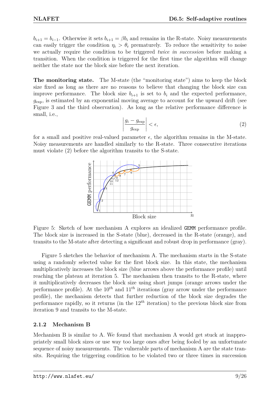$b_{i+1} = b_{i-1}$ . Otherwise it sets  $b_{i+1} = \beta b_i$  and remains in the R-state. Noisy measurements can easily trigger the condition  $\eta_i > \theta_r$  prematurely. To reduce the sensitivity to noise we actually require the condition to be triggered *twice in succession* before making a transition. When the condition is triggered for the first time the algorithm will change neither the state nor the block size before the next iteration.

**The monitoring state.** The M-state (the "monitoring state") aims to keep the block size fixed as long as there are no reasons to believe that changing the block size can improve performance. The block size  $b_{i+1}$  is set to  $b_i$  and the expected performance,  $g_{\text{exp}}$ , is estimated by an exponential moving average to account for the upward drift (see Figure [3](#page-7-1) and the third observation). As long as the relative performance difference is small, i.e.,

<span id="page-9-2"></span>
$$
\left| \frac{g_i - g_{\exp}}{g_{\exp}} \right| < \epsilon,\tag{2}
$$

<span id="page-9-1"></span>for a small and positive real-valued parameter  $\epsilon$ , the algorithm remains in the M-state. Noisy measurements are handled similarly to the R-state. Three consecutive iterations must violate [\(2\)](#page-9-2) before the algorithm transits to the S-state.



Figure 5: Sketch of how mechanism A explores an idealized GEMM performance profile. The block size is increased in the S-state (blue), decreased in the R-state (orange), and transits to the M-state after detecting a significant and robust drop in performance (gray).

Figure [5](#page-9-1) sketches the behavior of mechanism A. The mechanism starts in the S-state using a randomly selected value for the first block size. In this state, the mechanism multiplicatively increases the block size (blue arrows above the performance profile) until reaching the plateau at iteration 5. The mechanism then transits to the R-state, where it multiplicatively decreases the block size using short jumps (orange arrows under the performance profile). At the  $10^{th}$  and  $11^{th}$  iterations (gray arrow under the performance profile), the mechanism detects that further reduction of the block size degrades the performance rapidly, so it returns (in the 12*th* iteration) to the previous block size from iteration 9 and transits to the M-state.

### <span id="page-9-0"></span>**2.1.2 Mechanism B**

Mechanism B is similar to A. We found that mechanism A would get stuck at inappropriately small block sizes or use way too large ones after being fooled by an unfortunate sequence of noisy measurements. The vulnerable parts of mechanism A are the state transits. Requiring the triggering condition to be violated two or three times in succession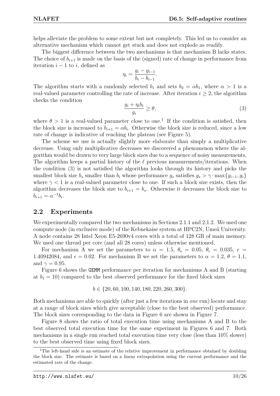helps alleviate the problem to some extent but not completely. This led us to consider an alternative mechanism which cannot get stuck and does not explode as readily.

The biggest difference between the two mechanisms is that mechanism B lacks states. The choice of  $b_{i+1}$  is made on the basis of the (signed) rate of change in performance from iteration  $i - 1$  to  $i$ , defined as

$$
\eta_i = \frac{g_i - g_{i-1}}{b_i - b_{i-1}}.
$$

The algorithm starts with a randomly selected  $b_1$  and sets  $b_2 = \alpha b_1$ , where  $\alpha > 1$  is a real-valued parameter controlling the rate of increase. After iteration  $i \geq 2$ , the algorithm checks the condition

<span id="page-10-2"></span>
$$
\frac{g_i + \eta_i b_i}{g_i} \ge \theta,\tag{3}
$$

where  $\theta > 1$  $\theta > 1$  is a real-valued parameter close to one.<sup>1</sup> If the condition is satisfied, then the block size is increased to  $b_{i+1} = \alpha b_i$ . Otherwise the block size is reduced, since a low rate of change is indicative of reaching the plateau (see Figure [5\)](#page-9-1).

The scheme we use is actually slightly more elaborate than simply a multiplicative decrease. Using only multiplicative decreases we discovered a phenomenon where the algorithm would be drawn to very large block sizes due to a sequence of noisy measurements. The algorithm keeps a partial history of the  $\ell$  previous measurements/iterations. When the condition [\(3\)](#page-10-2) is not satisfied the algorithm looks through its history and picks the smallest block size  $b_s$  smaller than  $b_i$  whose performance  $g_s$  satisfies  $g_s > \gamma \cdot \max\{g_{i-1}, g_i\}$ where  $\gamma$  < 1 is a real-valued parameter close to one. If such a block size exists, then the algorithm decreases the block size to  $b_{i+1} = b_s$ . Otherwise it decreases the block size to  $b_{i+1} = \alpha^{-1} b_i$ .

### <span id="page-10-0"></span>**2.2 Experiments**

We experimentally compared the two mechanisms in Sections [2.1.1](#page-8-0) and [2.1.2.](#page-9-0) We used one compute node (in exclusive mode) of the Kebnekaise system at HPC2N, Umeå University. A node contains 28 Intel Xeon E5-2690v4 cores with a total of 128 GB of main memory. We used one thread per core (and all 28 cores) unless otherwise mentioned.

For mechanism A we set the parameters to  $\alpha = 1.5$ ,  $\theta_s = 0.05$ ,  $\theta_r = 0.035$ ,  $r =$ 1.40942084, and  $\epsilon = 0.02$ . For mechanism B we set the parameters to  $\alpha = 1.2$ ,  $\theta = 1.1$ , and  $\gamma = 0.95$ .

Figure [6](#page-11-0) shows the GEMM performance per iteration for mechanisms A and B (starting at  $b_1 = 10$ ) compared to the best observed performance for the fixed block sizes

$$
b \in \{20, 60, 100, 140, 180, 220, 260, 300\}.
$$

Both mechanisms are able to quickly (after just a few iterations in *one* run) locate and stay at a range of block sizes which give acceptable (close to the best observed) performance. The block sizes corresponding to the data in Figure [6](#page-11-0) are shown in Figure [7.](#page-11-1)

Figure [8](#page-12-1) shows the ratio of total execution time using mechanisms A and B to the best observed total execution time for the same experiment in Figures [6](#page-11-0) and [7.](#page-11-1) Both mechanisms in a single run reached total execution time very close (less than 10% slower) to the best observed time using fixed block sizes.

<span id="page-10-1"></span><sup>&</sup>lt;sup>1</sup>The left-hand side is an estimate of the relative improvement in performance obtained by doubling the block size. The estimate is based on a linear extrapolation using the current performance and the estimated rate of the change.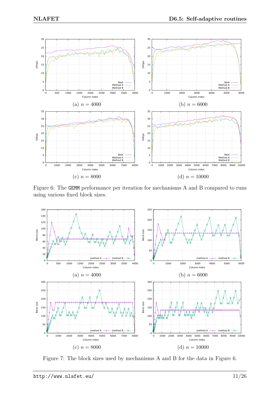<span id="page-11-0"></span>

Figure 6: The GEMM performance per iteration for mechanisms A and B compared to runs using various fixed block sizes.

<span id="page-11-1"></span>

Figure 7: The block sizes used by mechanisms A and B for the data in Figure [6.](#page-11-0)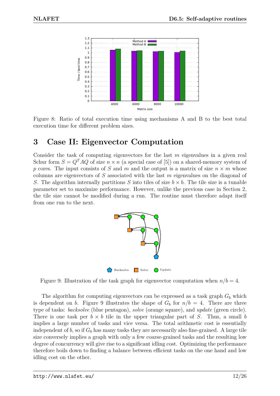<span id="page-12-1"></span>

Figure 8: Ratio of total execution time using mechanisms A and B to the best total execution time for different problem sizes.

### <span id="page-12-0"></span>**3 Case II: Eigenvector Computation**

<span id="page-12-2"></span>Consider the task of computing eigenvectors for the last *m* eigenvalues in a given real Schur form  $S = Q<sup>T</sup>AQ$  of size  $n \times n$  (a special case of [\[5\]](#page-26-5)) on a shared-memory system of *p* cores. The input consists of *S* and *m* and the output is a matrix of size  $n \times m$  whose columns are eigenvectors of *S* associated with the last *m* eigenvalues on the diagonal of *S*. The algorithm internally partitions *S* into tiles of size  $b \times b$ . The tile size is a tunable parameter set to maximize performance. However, unlike the previous case in Section [2,](#page-5-0) the tile size cannot be modified during a run. The routine must therefore adapt itself from one run to the next.



Figure 9: Illustration of the task graph for eigenvector computation when  $n/b = 4$ .

The algorithm for computing eigenvectors can be expressed as a task graph  $G_b$  which is dependent on *b*. Figure [9](#page-12-2) illustrates the shape of  $G_b$  for  $n/b = 4$ . There are three type of tasks: *backsolve* (blue pentagon), *solve* (orange square), and *update* (green circle). There is one task per  $b \times b$  tile in the upper triangular part of *S*. Thus, a small *b* implies a large number of tasks and vice versa. The total arithmetic cost is essentially independent of  $b$ , so if  $G_b$  has many tasks they are necessarily also fine-grained. A large tile size conversely implies a graph with only a few coarse-grained tasks and the resulting low degree of concurrency will give rise to a significant idling cost. Optimizing the performance therefore boils down to finding a balance between efficient tasks on the one hand and low idling cost on the other.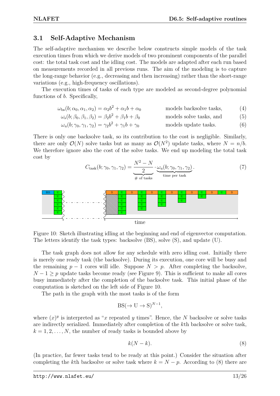### <span id="page-13-0"></span>**3.1 Self-Adaptive Mechanism**

The self-adaptive mechanism we describe below constructs simple models of the task execution times from which we derive models of two prominent components of the parallel cost: the total task cost and the idling cost. The models are adapted after each run based on measurements recorded in all previous runs. The aim of the modeling is to capture the long-range behavior (e.g., decreasing and then increasing) rather than the short-range variations (e.g., high-frequency oscillations).

The execution times of tasks of each type are modeled as second-degree polynomial functions of *b*. Specifically,

$$
\omega_{\rm bs}(b; \alpha_0, \alpha_1, \alpha_2) = \alpha_2 b^2 + \alpha_1 b + \alpha_0 \qquad \qquad \text{models backsolve tasks}, \tag{4}
$$

$$
\omega_{s}(b; \beta_{0}, \beta_{1}, \beta_{2}) = \beta_{2}b^{2} + \beta_{1}b + \beta_{0} \qquad \text{models solve tasks, and} \qquad (5)
$$

$$
\omega_{\mathbf{u}}(b; \gamma_0, \gamma_1, \gamma_2) = \gamma_2 b^2 + \gamma_1 b + \gamma_0 \quad \text{models update tasks.} \tag{6}
$$

There is only one backsolve task, so its contribution to the cost is negligible. Similarly, there are only  $\mathcal{O}(N)$  solve tasks but as many as  $\mathcal{O}(N^2)$  update tasks, where  $N = n/b$ . We therefore ignore also the cost of the solve tasks. We end up modeling the total task cost by

<span id="page-13-5"></span><span id="page-13-4"></span><span id="page-13-3"></span>
$$
C_{\text{task}}(b; \gamma_0, \gamma_1, \gamma_2) = \underbrace{\frac{N^2 - N}{2}}_{\text{\# of tasks}} \cdot \underbrace{\omega_u(b; \gamma_0, \gamma_1, \gamma_2)}_{\text{time per task}}.
$$
\n(7)

<span id="page-13-1"></span>

Figure 10: Sketch illustrating idling at the beginning and end of eigenvector computation. The letters identify the task types: backsolve (BS), solve (S), and update (U).

The task graph does not allow for any schedule with zero idling cost. Initially there is merely one ready task (the backsolve). During its execution, one core will be busy and the remaining  $p-1$  cores will idle. Suppose  $N > p$ . After completing the backsolve,  $N-1 \geq p$  update tasks become ready (see Figure [9\)](#page-12-2). This is sufficient to make all cores busy immediately after the completion of the backsolve task. This initial phase of the computation is sketched on the left side of Figure [10.](#page-13-1)

The path in the graph with the most tasks is of the form

$$
BS(\to U \to S)^{N-1},
$$

where  $(x)^y$  is interpreted as "*x* repeated *y* times". Hence, the *N* backsolve or solve tasks are indirectly serialized. Immediately after completion of the *k*th backsolve or solve task,  $k = 1, 2, \ldots, N$ , the number of ready tasks is bounded above by

<span id="page-13-2"></span>
$$
k(N-k). \tag{8}
$$

(In practice, far fewer tasks tend to be ready at this point.) Consider the situation after completing the *k*th backsolve or solve task where  $k = N - p$ . According to [\(8\)](#page-13-2) there are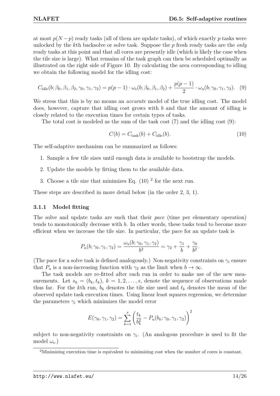at most  $p(N-p)$  ready tasks (all of them are update tasks), of which exactly  $p$  tasks were unlocked by the *k*th backsolve or solve task. Suppose the *p* fresh ready tasks are the *only* ready tasks at this point and that all cores are presently idle (which is likely the case when the tile size is large). What remains of the task graph can then be scheduled optimally as illustrated on the right side of Figure [10.](#page-13-1) By calculating the area corresponding to idling we obtain the following model for the idling cost:

<span id="page-14-1"></span>
$$
C_{\rm idle}(b; \beta_0, \beta_1, \beta_2, \gamma_0, \gamma_1, \gamma_2) = p(p-1) \cdot \omega_{\rm s}(b; \beta_0, \beta_1, \beta_2) + \frac{p(p-1)}{2} \cdot \omega_{\rm u}(b; \gamma_0, \gamma_1, \gamma_2). \tag{9}
$$

We stress that this is by no means an *accurate* model of the true idling cost. The model does, however, capture that idling cost grows with *b* and that the amount of idling is closely related to the execution times for certain types of tasks.

The total cost is modeled as the sum of the task cost [\(7\)](#page-13-3) and the idling cost [\(9\)](#page-14-1):

<span id="page-14-2"></span>
$$
C(b) = C_{\text{task}}(b) + C_{\text{idle}}(b). \tag{10}
$$

The self-adaptive mechanism can be summarized as follows:

- 1. Sample a few tile sizes until enough data is available to bootstrap the models.
- 2. Update the models by fitting them to the available data.
- 3. Choose a tile size that minimizes Eq.  $(10)^2$  $(10)^2$  $(10)^2$  for the next run.

These steps are described in more detail below (in the order 2, 3, 1).

#### <span id="page-14-0"></span>**3.1.1 Model fitting**

The solve and update tasks are such that their *pace* (time per elementary operation) tends to monotonically decrease with *b*. In other words, these tasks tend to become more efficient when we increase the tile size. In particular, the pace for an update task is

$$
P_{\mathbf{u}}(b; \gamma_0, \gamma_1, \gamma_2) = \frac{\omega_{\mathbf{u}}(b; \gamma_0, \gamma_1, \gamma_2)}{b^2} = \gamma_2 + \frac{\gamma_1}{b} + \frac{\gamma_0}{b^2}.
$$

(The pace for a solve task is defined analogously.) Non-negativity constraints on  $\gamma_i$  ensure that  $P_u$  is a non-increasing function with  $\gamma_2$  as the limit when  $b \to \infty$ .

The task models are re-fitted after each run in order to make use of the new measurements. Let  $s_k = (b_k, t_k)$ ,  $k = 1, 2, \ldots, s$ , denote the sequence of observations made thus far. For the *k*th run,  $b_k$  denotes the tile size used and  $t_k$  denotes the mean of the observed update task execution times. Using linear least squares regression, we determine the parameters  $\gamma_i$  which minimizes the model error

$$
E(\gamma_0, \gamma_1, \gamma_2) = \sum_{k=1}^s \left(\frac{t_k}{b_k^2} - P_u(b_k; \gamma_0, \gamma_1, \gamma_2)\right)^2
$$

subject to non-negativity constraints on  $\gamma_i$ . (An analogous procedure is used to fit the model *ω*<sup>s</sup> .)

<span id="page-14-3"></span><sup>2</sup>Minimizing execution time is equivalent to minimizing cost when the number of cores is constant.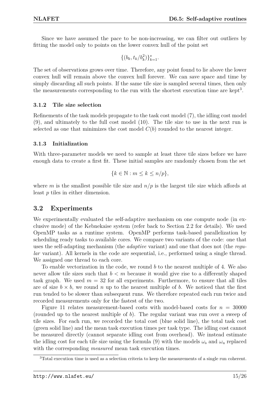Since we have assumed the pace to be non-increasing, we can filter out outliers by fitting the model only to points on the lower convex hull of the point set

$$
\{(b_k, t_k/b_k^2)\}_{k=1}^s.
$$

The set of observations grows over time. Therefore, any point found to lie above the lower convex hull will remain above the convex hull forever. We can save space and time by simply discarding all such points. If the same tile size is sampled several times, then only the measurements corresponding to the run with the shortest execution time are kept<sup>[3](#page-15-3)</sup>.

### <span id="page-15-0"></span>**3.1.2 Tile size selection**

Refinements of the task models propagate to the task cost model [\(7\)](#page-13-3), the idling cost model [\(9\)](#page-14-1), and ultimately to the full cost model [\(10\)](#page-14-2). The tile size to use in the next run is selected as one that minimizes the cost model  $C(b)$  rounded to the nearest integer.

### <span id="page-15-1"></span>**3.1.3 Initialization**

With three-parameter models we need to sample at least three tile sizes before we have enough data to create a first fit. These initial samples are randomly chosen from the set

$$
\{k \in \mathbb{N} : m \le k \le n/p\},\
$$

where *m* is the smallest possible tile size and  $n/p$  is the largest tile size which affords at least *p* tiles in either dimension.

### <span id="page-15-2"></span>**3.2 Experiments**

We experimentally evaluated the self-adaptive mechanism on one compute node (in exclusive mode) of the Kebnekaise system (refer back to Section [2.2](#page-10-0) for details). We used OpenMP tasks as a runtime system. OpenMP performs task-based parallelization by scheduling ready tasks to available cores. We compare two variants of the code: one that uses the self-adapting mechanism (the *adaptive* variant) and one that does not (the *regular* variant). All kernels in the code are sequential, i.e., performed using a single thread. We assigned one thread to each core.

To enable vectorization in the code, we round *b* to the nearest multiple of 4. We also never allow tile sizes such that *b < m* because it would give rise to a differently shaped task graph. We used  $m = 32$  for all experiments. Furthermore, to ensure that all tiles are of size  $b \times b$ , we round *n* up to the nearest multiple of *b*. We noticed that the first run tended to be slower than subsequent runs. We therefore repeated each run twice and recorded measurements only for the fastest of the two.

Figure [11](#page-16-0) relates measurement-based costs with model-based costs for  $n = 30000$ (rounded up to the nearest multiple of *b*). The regular variant was run over a sweep of tile sizes. For each run, we recorded the total cost (blue solid line), the total task cost (green solid line) and the mean task execution times per task type. The idling cost cannot be measured directly (cannot separate idling cost from overhead). We instead estimate the idling cost for each tile size using the formula [\(9\)](#page-14-1) with the models  $\omega_s$  and  $\omega_u$  replaced with the corresponding *measured* mean task execution times.

<span id="page-15-3"></span><sup>3</sup>Total execution time is used as a selection criteria to keep the measurements of a single run coherent.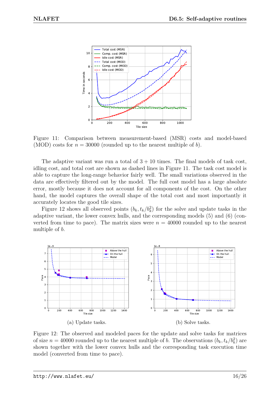<span id="page-16-0"></span>

Figure 11: Comparison between measurement-based (MSR) costs and model-based (MOD) costs for  $n = 30000$  (rounded up to the nearest multiple of *b*).

The adaptive variant was run a total of  $3 + 10$  times. The final models of task cost, idling cost, and total cost are shown as dashed lines in Figure [11.](#page-16-0) The task cost model is able to capture the long-range behavior fairly well. The small variations observed in the data are effectively filtered out by the model. The full cost model has a large absolute error, mostly because it does not account for all components of the cost. On the other hand, the model captures the overall shape of the total cost and most importantly it accurately locates the good tile sizes.

Figure [12](#page-16-1) shows all observed points  $(b_k, t_k/b_k^2)$  for the solve and update tasks in the adaptive variant, the lower convex hulls, and the corresponding models [\(5\)](#page-13-4) and [\(6\)](#page-13-5) (converted from time to pace). The matrix sizes were  $n = 40000$  rounded up to the nearest multiple of *b*.

<span id="page-16-1"></span>

Figure 12: The observed and modeled paces for the update and solve tasks for matrices of size  $n = 40000$  rounded up to the nearest multiple of *b*. The observations  $(b_k, t_k/b_k^2)$  are shown together with the lower convex hulls and the corresponding task execution time model (converted from time to pace).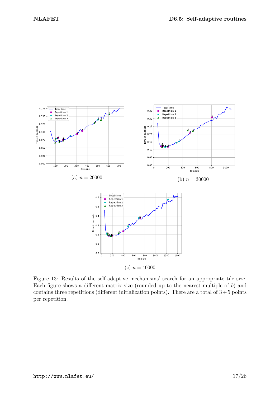<span id="page-17-0"></span>

Figure 13: Results of the self-adaptive mechanisms' search for an appropriate tile size. Each figure shows a different matrix size (rounded up to the nearest multiple of *b*) and contains three repetitions (different initialization points). There are a total of  $3+5$  points per repetition.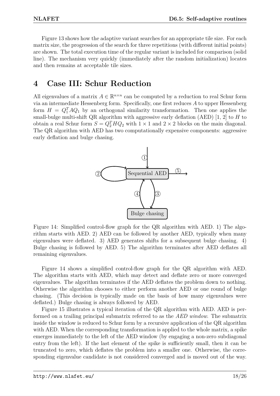Figure [13](#page-17-0) shows how the adaptive variant searches for an appropriate tile size. For each matrix size, the progression of the search for three repetitions (with different initial points) are shown. The total execution time of the regular variant is included for comparison (solid line). The mechanism very quickly (immediately after the random initialization) locates and then remains at acceptable tile sizes.

### <span id="page-18-0"></span>**4 Case III: Schur Reduction**

<span id="page-18-1"></span>All eigenvalues of a matrix  $A \in \mathbb{R}^{n \times n}$  can be computed by a reduction to real Schur form via an intermediate Hessenberg form. Specifically, one first reduces *A* to upper Hessenberg form  $H = Q_1^T A Q_1$  by an orthogonal similarity transformation. Then one applies the small-bulge multi-shift QR algorithm with aggressive early deflation (AED) [\[1,](#page-26-6) [2\]](#page-26-7) to *H* to obtain a real Schur form  $S = Q_2^T H Q_2$  with  $1 \times 1$  and  $2 \times 2$  blocks on the main diagonal. The QR algorithm with AED has two computationally expensive components: aggressive early deflation and bulge chasing.



Figure 14: Simplified control-flow graph for the QR algorithm with AED. 1) The algorithm starts with AED. 2) AED can be followed by another AED, typically when many eigenvalues were deflated. 3) AED generates shifts for a subsequent bulge chasing. 4) Bulge chasing is followed by AED. 5) The algorithm terminates after AED deflates all remaining eigenvalues.

Figure [14](#page-18-1) shows a simplified control-flow graph for the QR algorithm with AED. The algorithm starts with AED, which may detect and deflate zero or more converged eigenvalues. The algorithm terminates if the AED deflates the problem down to nothing. Otherwise the algorithm chooses to either perform another AED or one round of bulge chasing. (This decision is typically made on the basis of how many eigenvalues were deflated.) Bulge chasing is always followed by AED.

Figure [15](#page-19-0) illustrates a typical iteration of the QR algorithm with AED. AED is performed on a trailing principal submatrix referred to as the *AED window*. The submatrix inside the window is reduced to Schur form by a recursive application of the QR algorithm with AED. When the corresponding transformation is applied to the whole matrix, a spike emerges immediately to the left of the AED window (by engaging a non-zero subdiagonal entry from the left). If the last element of the spike is sufficiently small, then it can be truncated to zero, which deflates the problem into a smaller one. Otherwise, the corresponding eigenvalue candidate is not considered converged and is moved out of the way.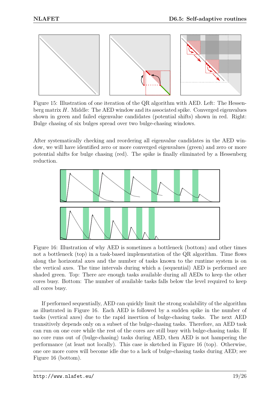<span id="page-19-0"></span>

Figure 15: Illustration of one iteration of the QR algorithm with AED. Left: The Hessenberg matrix *H*. Middle: The AED window and its associated spike. Converged eigenvalues shown in green and failed eigenvalue candidates (potential shifts) shown in red. Right: Bulge chasing of six bulges spread over two bulge-chasing windows.

After systematically checking and reordering all eigenvalue candidates in the AED window, we will have identified zero or more converged eigenvalues (green) and zero or more potential shifts for bulge chasing (red). The spike is finally eliminated by a Hessenberg reduction.

<span id="page-19-1"></span>

Figure 16: Illustration of why AED is sometimes a bottleneck (bottom) and other times not a bottleneck (top) in a task-based implementation of the QR algorithm. Time flows along the horizontal axes and the number of tasks known to the runtime system is on the vertical axes. The time intervals during which a (sequential) AED is performed are shaded green. Top: There are enough tasks available during all AEDs to keep the other cores busy. Bottom: The number of available tasks falls below the level required to keep all cores busy.

If performed sequentially, AED can quickly limit the strong scalability of the algorithm as illustrated in Figure [16.](#page-19-1) Each AED is followed by a sudden spike in the number of tasks (vertical axes) due to the rapid insertion of bulge-chasing tasks. The next AED transitively depends only on a subset of the bulge-chasing tasks. Therefore, an AED task can run on one core while the rest of the cores are still busy with bulge-chasing tasks. If no core runs out of (bulge-chasing) tasks during AED, then AED is not hampering the performance (at least not locally). This case is sketched in Figure [16](#page-19-1) (top). Otherwise, one ore more cores will become idle due to a lack of bulge-chasing tasks during AED; see Figure [16](#page-19-1) (bottom).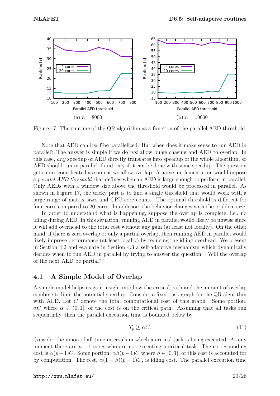<span id="page-20-1"></span>

Figure 17: The runtime of the QR algorithm as a function of the parallel AED threshold.

Note that AED can itself be parallelized. But when does it make sense to run AED in parallel? The answer is simple if we do *not* allow bulge chasing and AED to overlap. In this case, *any* speedup of AED directly translates into speedup of the whole algorithm, so AED should run in parallel if and only if it can be done with some speedup. The question gets more complicated as soon as we allow overlap. A naive implementation would impose a *parallel AED threshold* that defines when an AED is large enough to perform in parallel. Only AEDs with a window size above the threshold would be processed in parallel. As shown in Figure [17,](#page-20-1) the tricky part is to find a single threshold that would work with a large range of matrix sizes and CPU core counts. The optimal threshold is different for four cores compared to 20 cores. In addition, the behavior changes with the problem size.

In order to understand what is happening, suppose the overlap is complete, i.e., no idling during AED. In this situation, running AED in parallel would likely be unwise since it will add overhead to the total cost without any gain (at least not locally). On the other hand, if there is zero overlap or only a partial overlap, then running AED in parallel would likely improve performance (at least locally) by reducing the idling overhead. We present in Section [4.2](#page-21-0) and evaluate in Section [4.3](#page-23-0) a self-adaptive mechanism which dynamically decides when to run AED in parallel by trying to answer the question: "Will the overlap of the next AED be partial?"

### <span id="page-20-0"></span>**4.1 A Simple Model of Overlap**

A simple model helps us gain insight into how the critical path and the amount of overlap combine to limit the potential speedup. Consider a fixed task graph for the QR algorithm with AED. Let *C* denote the total computational cost of this graph. Some portion,  $\alpha C$  where  $\alpha \in (0,1]$ , of the cost is on the critical path. Assuming that all tasks run sequentially, then the parallel execution time is bounded below by

<span id="page-20-2"></span>
$$
T_p \ge \alpha C. \tag{11}
$$

Consider the union of all time intervals in which a critical task is being executed. At any moment there are  $p-1$  cores who are not executing a critical task. The corresponding cost is  $\alpha(p-1)C$ . Some portion,  $\alpha\beta(p-1)C$  where  $\beta \in [0,1]$ , of this cost is accounted for by computation. The rest,  $\alpha(1 - \beta)(p - 1)C$ , is idling cost. The parallel execution time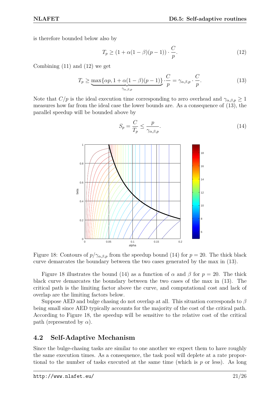is therefore bounded below also by

<span id="page-21-3"></span>
$$
T_p \ge (1 + \alpha(1 - \beta)(p - 1)) \cdot \frac{C}{p}.\tag{12}
$$

Combining [\(11\)](#page-20-2) and [\(12\)](#page-21-3) we get

<span id="page-21-4"></span>
$$
T_p \ge \underbrace{\max\{\alpha p, 1 + \alpha(1 - \beta)(p - 1)\}}_{\gamma_{\alpha, \beta, p}} \cdot \frac{C}{p} = \gamma_{\alpha, \beta, p} \cdot \frac{C}{p}.
$$
 (13)

<span id="page-21-1"></span>Note that  $C/p$  is the ideal execution time corresponding to zero overhead and  $\gamma_{\alpha,\beta,p} \geq 1$ measures how far from the ideal case the lower bounds are. As a consequence of [\(13\)](#page-21-4), the parallel speedup will be bounded above by

<span id="page-21-2"></span>*C*



Figure 18: Contours of  $p/\gamma_{\alpha,\beta,p}$  from the speedup bound [\(14\)](#page-21-2) for  $p = 20$ . The thick black curve demarcates the boundary between the two cases generated by the max in [\(13\)](#page-21-4).

Figure [18](#page-21-1) illustrates the bound [\(14\)](#page-21-2) as a function of  $\alpha$  and  $\beta$  for  $p = 20$ . The thick black curve demarcates the boundary between the two cases of the max in [\(13\)](#page-21-4). The critical path is the limiting factor above the curve, and computational cost and lack of overlap are the limiting factors below.

Suppose AED and bulge chasing do not overlap at all. This situation corresponds to *β* being small since AED typically accounts for the majority of the cost of the critical path. According to Figure [18,](#page-21-1) the speedup will be sensitive to the relative cost of the critical path (represented by  $\alpha$ ).

### <span id="page-21-0"></span>**4.2 Self-Adaptive Mechanism**

Since the bulge-chasing tasks are similar to one another we expect them to have roughly the same execution times. As a consequence, the task pool will deplete at a rate proportional to the number of tasks executed at the same time (which is *p* or less). As long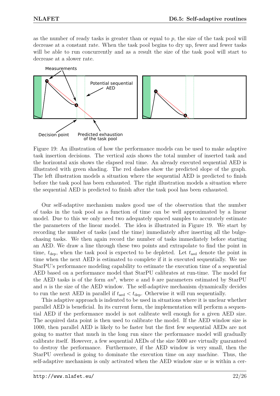as the number of ready tasks is greater than or equal to *p*, the size of the task pool will decrease at a constant rate. When the task pool begins to dry up, fewer and fewer tasks will be able to run concurrently and as a result the size of the task pool will start to decrease at a slower rate.

<span id="page-22-0"></span>

Figure 19: An illustration of how the performance models can be used to make adaptive task insertion decisions. The vertical axis shows the total number of inserted task and the horizontal axis shows the elapsed real time. An already executed sequential AED is illustrated with green shading. The red dashes show the predicted slope of the graph. The left illustration models a situation where the sequential AED is predicted to finish before the task pool has been exhausted. The right illustration models a situation where the sequential AED is predicted to finish after the task pool has been exhausted.

Our self-adaptive mechanism makes good use of the observation that the number of tasks in the task pool as a function of time can be well approximated by a linear model. Due to this we only need two adequately spaced samples to accurately estimate the parameters of the linear model. The idea is illustrated in Figure [19.](#page-22-0) We start by recording the number of tasks (and the time) immediately after inserting all the bulgechasing tasks. We then again record the number of tasks immediately before starting an AED. We draw a line through these two points and extrapolate to find the point in time,  $t_{\text{dep}}$ , when the task pool is expected to be depleted. Let  $t_{\text{aed}}$  denote the point in time when the next AED is estimated to complete if it is executed sequentially. We use StarPU's performance modeling capability to estimate the execution time of a sequential AED based on a performance model that StarPU calibrates at run-time. The model for the AED tasks is of the form  $an^b$ , where *a* and *b* are parameters estimated by StarPU and *n* is the size of the AED window. The self-adaptive mechanism dynamically decides to run the next AED in parallel if  $t_{\text{aed}} < t_{\text{dep}}$ . Otherwise it will run sequentially.

This adaptive approach is indented to be used in situations where it is unclear whether parallel AED is beneficial. In its current form, the implementation will perform a sequential AED if the performance model is not calibrate well enough for a given AED size. The acquired data point is then used to calibrate the model. If the AED window size is 1000, then parallel AED is likely to be faster but the first few sequential AEDs are not going to matter that much in the long run since the performance model will gradually calibrate itself. However, a few sequential AEDs of the size 5000 are virtually guaranteed to destroy the performance. Furthermore, if the AED window is very small, then the StarPU overhead is going to dominate the execution time on any machine. Thus, the self-adaptive mechanism is only activated when the AED window size *w* is within a cer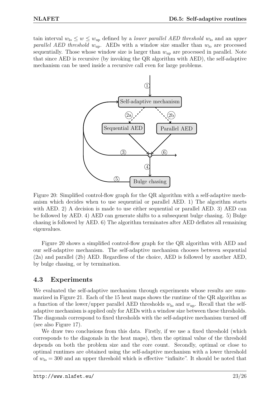<span id="page-23-1"></span>tain interval  $w_{\text{lo}} \leq w \leq w_{\text{up}}$  defined by a *lower parallel AED threshold*  $w_{\text{lo}}$  and an *upper parallel AED threshold*  $w_{\text{up}}$ . AEDs with a window size smaller than  $w_{\text{lo}}$  are processed sequentially. Those whose window size is larger than *w*up are processed in parallel. Note that since AED is recursive (by invoking the QR algorithm with AED), the self-adaptive mechanism can be used inside a recursive call even for large problems.



Figure 20: Simplified control-flow graph for the QR algorithm with a self-adaptive mechanism which decides when to use sequential or parallel AED. 1) The algorithm starts with AED. 2) A decision is made to use either sequential or parallel AED. 3) AED can be followed by AED. 4) AED can generate shifts to a subsequent bulge chasing. 5) Bulge chasing is followed by AED. 6) The algorithm terminates after AED deflates all remaining eigenvalues.

Figure [20](#page-23-1) shows a simplified control-flow graph for the QR algorithm with AED and our self-adaptive mechanism. The self-adaptive mechanism chooses between sequential (2a) and parallel (2b) AED. Regardless of the choice, AED is followed by another AED, by bulge chasing, or by termination.

### <span id="page-23-0"></span>**4.3 Experiments**

We evaluated the self-adaptive mechanism through experiments whose results are summarized in Figure [21.](#page-24-0) Each of the 15 heat maps shows the runtime of the QR algorithm as a function of the lower/upper parallel AED thresholds *w*lo and *w*up. Recall that the selfadaptive mechanism is applied only for AEDs with a window size between these thresholds. The diagonals correspond to fixed thresholds with the self-adaptive mechanism turned off (see also Figure [17\)](#page-20-1).

We draw two conclusions from this data. Firstly, if we use a fixed threshold (which corresponds to the diagonals in the heat maps), then the optimal value of the threshold depends on both the problem size and the core count. Secondly, optimal or close to optimal runtimes are obtained using the self-adaptive mechanism with a lower threshold of  $w_{\text{lo}} = 300$  and an upper threshold which is effective "infinite". It should be noted that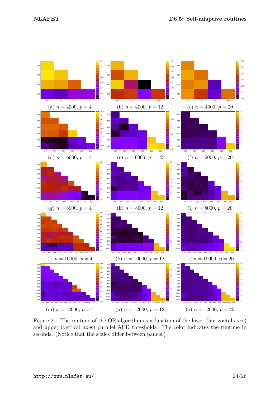<span id="page-24-0"></span>

Figure 21: The runtime of the QR algorithm as a function of the lower (horizontal axes) and upper (vertical axes) parallel AED thresholds. The color indicates the runtime in seconds. (Notice that the scales differ between panels.)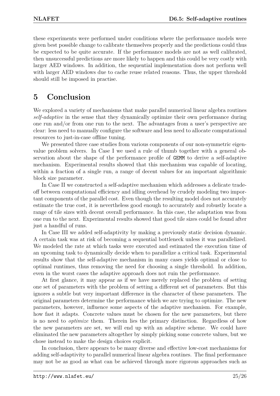these experiments were performed under conditions where the performance models were given best possible change to calibrate themselves properly and the predictions could thus be expected to be quite accurate. If the performance models are not as well calibrated, then unsuccessful predictions are more likely to happen and this could be very costly with larger AED windows. In addition, the sequential implementation does not perform well with larger AED windows due to cache reuse related reasons. Thus, the upper threshold should still be imposed in practise.

### <span id="page-25-0"></span>**5 Conclusion**

We explored a variety of mechanisms that make parallel numerical linear algebra routines *self-adaptive* in the sense that they dynamically optimize their own performance during one run and/or from one run to the next. The advantages from a user's perspective are clear: less need to manually configure the software and less need to allocate computational resources to just-in-case offline tuning.

We presented three case studies from various components of our non-symmetric eigenvalue problem solvers. In Case I we used a rule of thumb together with a general observation about the shape of the performance profile of GEMM to derive a self-adaptive mechanism. Experimental results showed that this mechanism was capable of locating, within a fraction of a single run, a range of decent values for an important algorithmic block size parameter.

In Case II we constructed a self-adaptive mechanism which addresses a delicate tradeoff between computational efficiency and idling overhead by crudely modeling two important components of the parallel cost. Even though the resulting model does not accurately estimate the true cost, it is nevertheless good enough to accurately and robustly locate a range of tile sizes with decent overall performance. In this case, the adaptation was from one run to the next. Experimental results showed that good tile sizes could be found after just a handful of runs.

In Case III we added self-adaptivity by making a previously static decision dynamic. A certain task was at risk of becoming a sequential bottleneck unless it was parallelized. We modeled the rate at which tasks were executed and estimated the execution time of an upcoming task to dynamically decide when to parallelize a critical task. Experimental results show that the self-adaptive mechanism in many cases yields optimal or close to optimal runtimes, thus removing the need for choosing a single threshold. In addition, even in the worst cases the adaptive approach does not ruin the performance.

At first glance, it may appear as if we have merely replaced the problem of setting one set of parameters with the problem of setting a different set of parameters. But this ignores a subtle but very important difference in the character of these parameters. The original parameters determine the performance which we are trying to optimize. The new parameters, however, influence some aspects of the adaptive mechanism. For example, how fast it adapts. Concrete values must be chosen for the new parameters, but there is no need to *optimize* them. Therein lies the primary distinction. Regardless of how the new parameters are set, we will end up with an adaptive scheme. We could have eliminated the new parameters altogether by simply picking some concrete values, but we chose instead to make the design choices explicit.

In conclusion, there appears to be many diverse and effective low-cost mechanisms for adding self-adaptivity to parallel numerical linear algebra routines. The final performance may not be as good as what can be achieved through more rigorous approaches such as